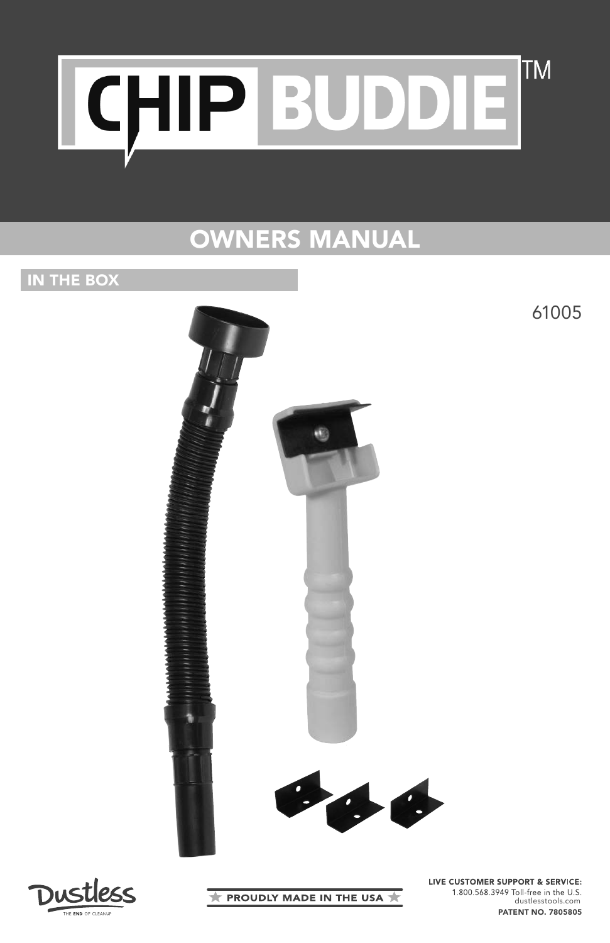

# OWNERS MANUAL

## IN THE BOX



<u>Dustless</u>

**PROUDLY MADE IN THE USA \*** 

LIVE CUSTOMER SUPPORT & SERVICE: 1.800.568.3949 Toll-free in the U.S. dustlesstools.com PATENT NO. 7805805

61005